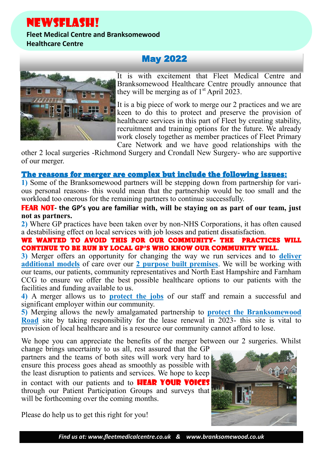# NEWSFLASH!

**Fleet Medical Centre and Branksomewood Healthcare Centre**

## May 2022



It is with excitement that Fleet Medical Centre and Branksomewood Healthcare Centre proudly announce that they will be merging as of  $1<sup>st</sup>$  April 2023.

It is a big piece of work to merge our 2 practices and we are keen to do this to protect and preserve the provision of healthcare services in this part of Fleet by creating stability, recruitment and training options for the future. We already work closely together as member practices of Fleet Primary Care Network and we have good relationships with the

other 2 local surgeries -Richmond Surgery and Crondall New Surgery- who are supportive of our merger.

#### The reasons for merger are complex but include the following issues:

**1)** Some of the Branksomewood partners will be stepping down from partnership for various personal reasons- this would mean that the partnership would be too small and the workload too onerous for the remaining partners to continue successfully.

**FEAR NOT- the GP's you are familiar with, will be staying on as part of our team, just not as partners.**

**2)** Where GP practices have been taken over by non-NHS Corporations, it has often caused a destabilising effect on local services with job losses and patient dissatisfaction.

#### WE WANTED TO AVOID THIS FOR OUR COMMUNITY- THE PRACTICES WILL CONTINUE TO BE RUN BY LOCAL GP'S WHO KNOW OUR COMMUNITY WELL**.**

**3)** Merger offers an opportunity for changing the way we run services and to **deliver additional models** of care over our **2 purpose built premises**. We will be working with our teams, our patients, community representatives and North East Hampshire and Farnham CCG to ensure we offer the best possible healthcare options to our patients with the facilities and funding available to us.

**4)** A merger allows us to **protect the jobs** of our staff and remain a successful and significant employer within our community.

**5)** Merging allows the newly amalgamated partnership to **protect the Branksomewood Road** site by taking responsibility for the lease renewal in 2023- this site is vital to provision of local healthcare and is a resource our community cannot afford to lose.

We hope you can appreciate the benefits of the merger between our 2 surgeries. Whilst change brings uncertainty to us all, rest assured that the GP

partners and the teams of both sites will work very hard to ensure this process goes ahead as smoothly as possible with the least disruption to patients and services. We hope to keep in contact with our patients and to **HEAR YOUR VOICES** through our Patient Participation Groups and surveys that will be forthcoming over the coming months.

Please do help us to get this right for you!